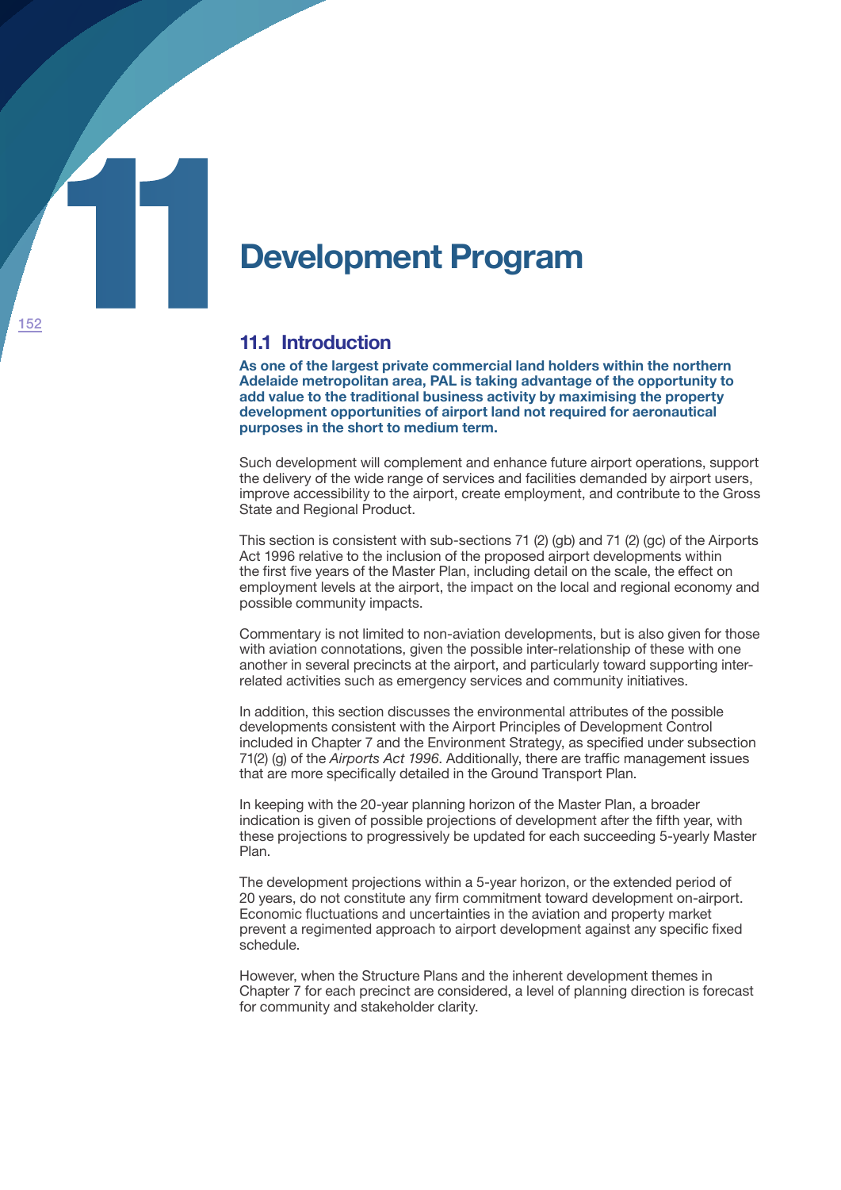

## **11.1 Introduction**

**As one of the largest private commercial land holders within the northern Adelaide metropolitan area, PAL is taking advantage of the opportunity to add value to the traditional business activity by maximising the property development opportunities of airport land not required for aeronautical purposes in the short to medium term.**

Such development will complement and enhance future airport operations, support the delivery of the wide range of services and facilities demanded by airport users, improve accessibility to the airport, create employment, and contribute to the Gross State and Regional Product.

This section is consistent with sub-sections 71 (2) (gb) and 71 (2) (gc) of the Airports Act 1996 relative to the inclusion of the proposed airport developments within the first five years of the Master Plan, including detail on the scale, the effect on employment levels at the airport, the impact on the local and regional economy and possible community impacts.

Commentary is not limited to non-aviation developments, but is also given for those with aviation connotations, given the possible inter-relationship of these with one another in several precincts at the airport, and particularly toward supporting interrelated activities such as emergency services and community initiatives.

In addition, this section discusses the environmental attributes of the possible developments consistent with the Airport Principles of Development Control included in Chapter 7 and the Environment Strategy, as specified under subsection 71(2) (g) of the *Airports Act 1996*. Additionally, there are traffic management issues that are more specifically detailed in the Ground Transport Plan.

In keeping with the 20-year planning horizon of the Master Plan, a broader indication is given of possible projections of development after the fifth year, with these projections to progressively be updated for each succeeding 5-yearly Master Plan.

The development projections within a 5-year horizon, or the extended period of 20 years, do not constitute any firm commitment toward development on-airport. Economic fluctuations and uncertainties in the aviation and property market prevent a regimented approach to airport development against any specific fixed schedule.

However, when the Structure Plans and the inherent development themes in Chapter 7 for each precinct are considered, a level of planning direction is forecast for community and stakeholder clarity.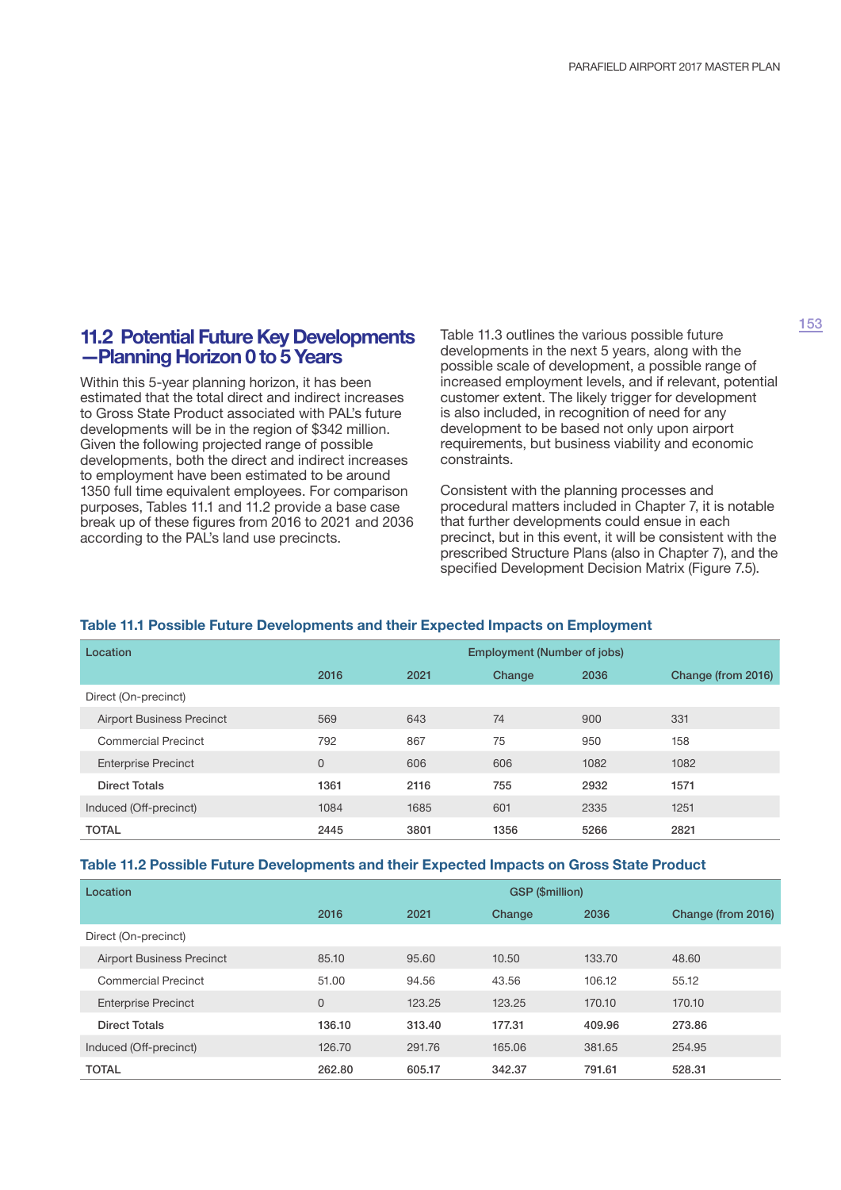### **11.2 Potential Future Key Developments —Planning Horizon 0 to 5 Years**

Within this 5-year planning horizon, it has been estimated that the total direct and indirect increases to Gross State Product associated with PAL's future developments will be in the region of \$342 million. Given the following projected range of possible developments, both the direct and indirect increases to employment have been estimated to be around 1350 full time equivalent employees. For comparison purposes, Tables 11.1 and 11.2 provide a base case break up of these figures from 2016 to 2021 and 2036 according to the PAL's land use precincts.

Table 11.3 outlines the various possible future developments in the next 5 years, along with the possible scale of development, a possible range of increased employment levels, and if relevant, potential customer extent. The likely trigger for development is also included, in recognition of need for any development to be based not only upon airport requirements, but business viability and economic constraints.

Consistent with the planning processes and procedural matters included in Chapter 7, it is notable that further developments could ensue in each precinct, but in this event, it will be consistent with the prescribed Structure Plans (also in Chapter 7), and the specified Development Decision Matrix (Figure 7.5).

#### **Table 11.1 Possible Future Developments and their Expected Impacts on Employment**

| Location                         | <b>Employment (Number of jobs)</b> |      |        |      |                    |
|----------------------------------|------------------------------------|------|--------|------|--------------------|
|                                  | 2016                               | 2021 | Change | 2036 | Change (from 2016) |
| Direct (On-precinct)             |                                    |      |        |      |                    |
| <b>Airport Business Precinct</b> | 569                                | 643  | 74     | 900  | 331                |
| <b>Commercial Precinct</b>       | 792                                | 867  | 75     | 950  | 158                |
| <b>Enterprise Precinct</b>       | $\overline{0}$                     | 606  | 606    | 1082 | 1082               |
| <b>Direct Totals</b>             | 1361                               | 2116 | 755    | 2932 | 1571               |
| Induced (Off-precinct)           | 1084                               | 1685 | 601    | 2335 | 1251               |
| <b>TOTAL</b>                     | 2445                               | 3801 | 1356   | 5266 | 2821               |

#### **Table 11.2 Possible Future Developments and their Expected Impacts on Gross State Product**

| Location                         | <b>GSP (\$million)</b> |        |        |        |                    |
|----------------------------------|------------------------|--------|--------|--------|--------------------|
|                                  | 2016                   | 2021   | Change | 2036   | Change (from 2016) |
| Direct (On-precinct)             |                        |        |        |        |                    |
| <b>Airport Business Precinct</b> | 85.10                  | 95.60  | 10.50  | 133.70 | 48.60              |
| <b>Commercial Precinct</b>       | 51.00                  | 94.56  | 43.56  | 106.12 | 55.12              |
| <b>Enterprise Precinct</b>       | $\Omega$               | 123.25 | 123.25 | 170.10 | 170.10             |
| <b>Direct Totals</b>             | 136.10                 | 313.40 | 177.31 | 409.96 | 273.86             |
| Induced (Off-precinct)           | 126.70                 | 291.76 | 165.06 | 381.65 | 254.95             |
| <b>TOTAL</b>                     | 262.80                 | 605.17 | 342.37 | 791.61 | 528.31             |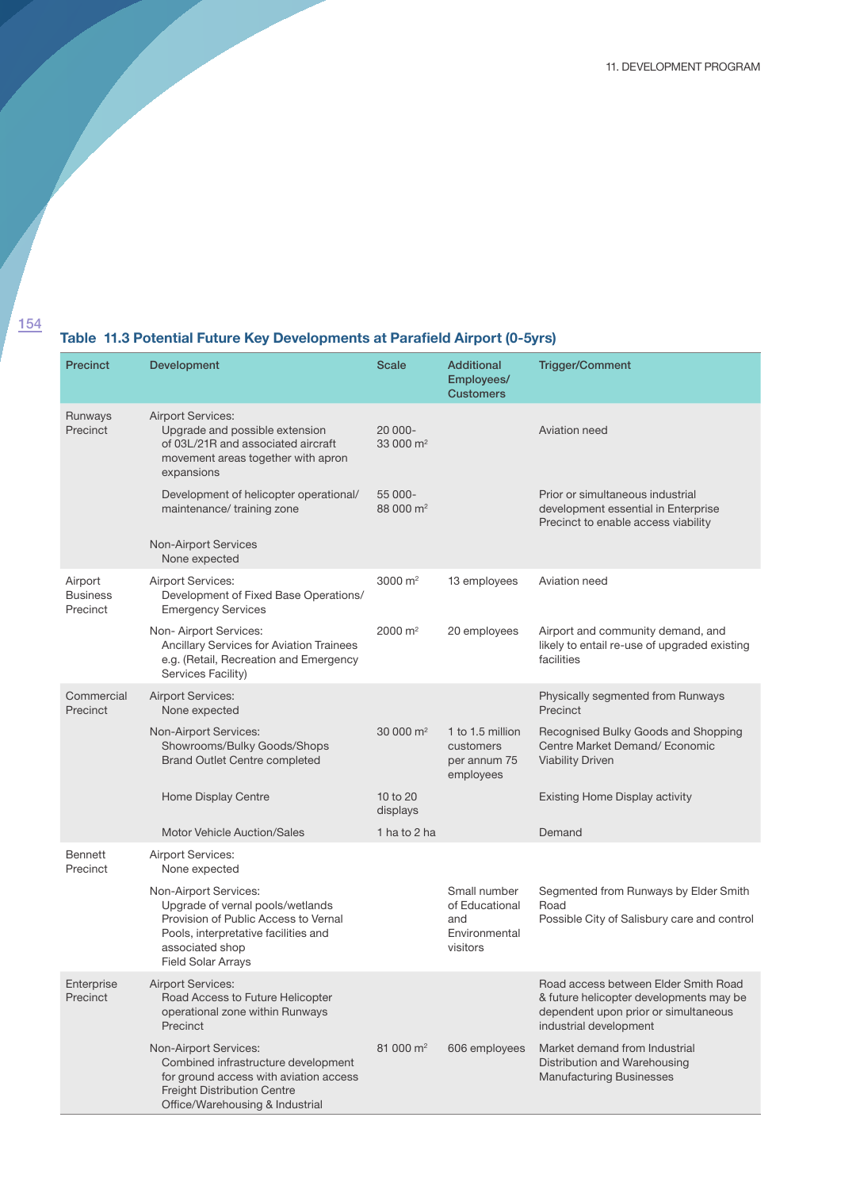# **Table 11.3 Potential Future Key Developments at Parafield Airport (0-5yrs)**

| Precinct                               | <b>Development</b>                                                                                                                                                                        | Scale                            | <b>Additional</b><br>Employees/<br><b>Customers</b>                | <b>Trigger/Comment</b>                                                                                                                            |
|----------------------------------------|-------------------------------------------------------------------------------------------------------------------------------------------------------------------------------------------|----------------------------------|--------------------------------------------------------------------|---------------------------------------------------------------------------------------------------------------------------------------------------|
| Runways<br>Precinct                    | <b>Airport Services:</b><br>Upgrade and possible extension<br>of 03L/21R and associated aircraft<br>movement areas together with apron<br>expansions                                      | 20 000-<br>33 000 $\rm m^2$      |                                                                    | Aviation need                                                                                                                                     |
|                                        | Development of helicopter operational/<br>maintenance/ training zone                                                                                                                      | 55 000-<br>88 000 m <sup>2</sup> |                                                                    | Prior or simultaneous industrial<br>development essential in Enterprise<br>Precinct to enable access viability                                    |
|                                        | <b>Non-Airport Services</b><br>None expected                                                                                                                                              |                                  |                                                                    |                                                                                                                                                   |
| Airport<br><b>Business</b><br>Precinct | <b>Airport Services:</b><br>Development of Fixed Base Operations/<br><b>Emergency Services</b>                                                                                            | 3000 $m2$                        | 13 employees                                                       | Aviation need                                                                                                                                     |
|                                        | Non-Airport Services:<br>Ancillary Services for Aviation Trainees<br>e.g. (Retail, Recreation and Emergency<br>Services Facility)                                                         | 2000 m <sup>2</sup>              | 20 employees                                                       | Airport and community demand, and<br>likely to entail re-use of upgraded existing<br>facilities                                                   |
| Commercial<br>Precinct                 | <b>Airport Services:</b><br>None expected                                                                                                                                                 |                                  |                                                                    | Physically segmented from Runways<br>Precinct                                                                                                     |
|                                        | Non-Airport Services:<br>Showrooms/Bulky Goods/Shops<br><b>Brand Outlet Centre completed</b>                                                                                              | 30 000 $\rm m^2$                 | 1 to 1.5 million<br>customers<br>per annum 75<br>employees         | Recognised Bulky Goods and Shopping<br>Centre Market Demand/ Economic<br><b>Viability Driven</b>                                                  |
|                                        | Home Display Centre                                                                                                                                                                       | 10 to 20<br>displays             |                                                                    | <b>Existing Home Display activity</b>                                                                                                             |
|                                        | <b>Motor Vehicle Auction/Sales</b>                                                                                                                                                        | 1 ha to 2 ha                     |                                                                    | Demand                                                                                                                                            |
| <b>Bennett</b><br>Precinct             | <b>Airport Services:</b><br>None expected                                                                                                                                                 |                                  |                                                                    |                                                                                                                                                   |
|                                        | Non-Airport Services:<br>Upgrade of vernal pools/wetlands<br>Provision of Public Access to Vernal<br>Pools, interpretative facilities and<br>associated shop<br><b>Field Solar Arrays</b> |                                  | Small number<br>of Educational<br>and<br>Environmental<br>visitors | Segmented from Runways by Elder Smith<br>Road<br>Possible City of Salisbury care and control                                                      |
| Enterprise<br>Precinct                 | <b>Airport Services:</b><br>Road Access to Future Helicopter<br>operational zone within Runways<br>Precinct                                                                               |                                  |                                                                    | Road access between Elder Smith Road<br>& future helicopter developments may be<br>dependent upon prior or simultaneous<br>industrial development |
|                                        | Non-Airport Services:<br>Combined infrastructure development<br>for ground access with aviation access<br><b>Freight Distribution Centre</b><br>Office/Warehousing & Industrial           | 81 000 m <sup>2</sup>            | 606 employees                                                      | Market demand from Industrial<br>Distribution and Warehousing<br><b>Manufacturing Businesses</b>                                                  |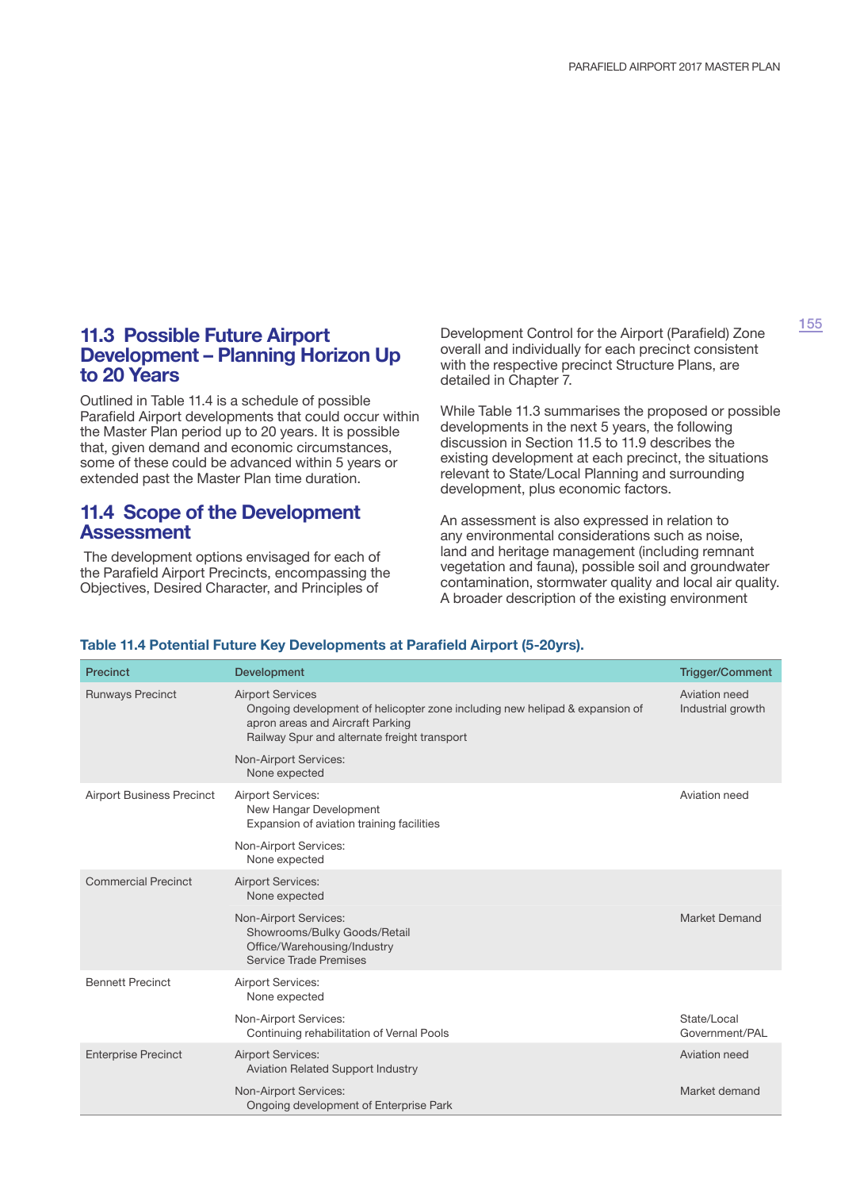### **11.3 Possible Future Airport Development – Planning Horizon Up to 20 Years**

Outlined in Table 11.4 is a schedule of possible Parafield Airport developments that could occur within the Master Plan period up to 20 years. It is possible that, given demand and economic circumstances, some of these could be advanced within 5 years or extended past the Master Plan time duration.

### **11.4 Scope of the Development Assessment**

 The development options envisaged for each of the Parafield Airport Precincts, encompassing the Objectives, Desired Character, and Principles of

Development Control for the Airport (Parafield) Zone overall and individually for each precinct consistent with the respective precinct Structure Plans, are detailed in Chapter 7.

While Table 11.3 summarises the proposed or possible developments in the next 5 years, the following discussion in Section 11.5 to 11.9 describes the existing development at each precinct, the situations relevant to State/Local Planning and surrounding development, plus economic factors.

An assessment is also expressed in relation to any environmental considerations such as noise, land and heritage management (including remnant vegetation and fauna), possible soil and groundwater contamination, stormwater quality and local air quality. A broader description of the existing environment

| <b>Precinct</b>                  | Development                                                                                                                                                                                | <b>Trigger/Comment</b>             |
|----------------------------------|--------------------------------------------------------------------------------------------------------------------------------------------------------------------------------------------|------------------------------------|
| <b>Runways Precinct</b>          | <b>Airport Services</b><br>Ongoing development of helicopter zone including new helipad & expansion of<br>apron areas and Aircraft Parking<br>Railway Spur and alternate freight transport | Aviation need<br>Industrial growth |
|                                  | Non-Airport Services:<br>None expected                                                                                                                                                     |                                    |
| <b>Airport Business Precinct</b> | <b>Airport Services:</b><br>New Hangar Development<br>Expansion of aviation training facilities                                                                                            | Aviation need                      |
|                                  | Non-Airport Services:<br>None expected                                                                                                                                                     |                                    |
| <b>Commercial Precinct</b>       | <b>Airport Services:</b><br>None expected                                                                                                                                                  |                                    |
|                                  | Non-Airport Services:<br>Showrooms/Bulky Goods/Retail<br>Office/Warehousing/Industry<br>Service Trade Premises                                                                             | <b>Market Demand</b>               |
| <b>Bennett Precinct</b>          | <b>Airport Services:</b><br>None expected                                                                                                                                                  |                                    |
|                                  | Non-Airport Services:<br>Continuing rehabilitation of Vernal Pools                                                                                                                         | State/Local<br>Government/PAL      |
| <b>Enterprise Precinct</b>       | <b>Airport Services:</b><br><b>Aviation Related Support Industry</b>                                                                                                                       | Aviation need                      |
|                                  | Non-Airport Services:<br>Ongoing development of Enterprise Park                                                                                                                            | Market demand                      |

#### **Table 11.4 Potential Future Key Developments at Parafield Airport (5-20yrs).**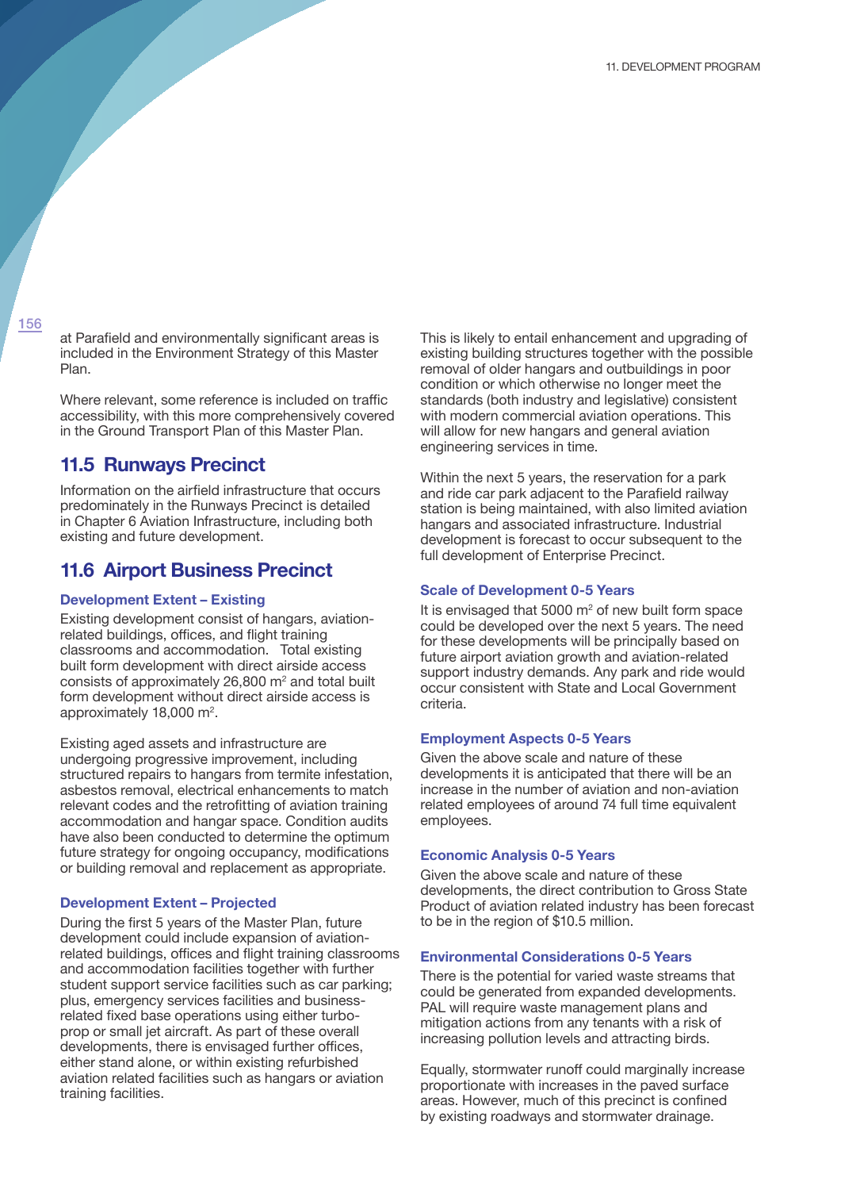at Parafield and environmentally significant areas is included in the Environment Strategy of this Master Plan.

Where relevant, some reference is included on traffic accessibility, with this more comprehensively covered in the Ground Transport Plan of this Master Plan.

### **11.5 Runways Precinct**

Information on the airfield infrastructure that occurs predominately in the Runways Precinct is detailed in Chapter 6 Aviation Infrastructure, including both existing and future development.

## **11.6 Airport Business Precinct**

### **Development Extent – Existing**

Existing development consist of hangars, aviationrelated buildings, offices, and flight training classrooms and accommodation. Total existing built form development with direct airside access consists of approximately 26,800  $\text{m}^2$  and total built form development without direct airside access is approximately 18,000 m<sup>2</sup>.

Existing aged assets and infrastructure are undergoing progressive improvement, including structured repairs to hangars from termite infestation, asbestos removal, electrical enhancements to match relevant codes and the retrofitting of aviation training accommodation and hangar space. Condition audits have also been conducted to determine the optimum future strategy for ongoing occupancy, modifications or building removal and replacement as appropriate.

#### **Development Extent – Projected**

During the first 5 years of the Master Plan, future development could include expansion of aviationrelated buildings, offices and flight training classrooms and accommodation facilities together with further student support service facilities such as car parking; plus, emergency services facilities and businessrelated fixed base operations using either turboprop or small jet aircraft. As part of these overall developments, there is envisaged further offices, either stand alone, or within existing refurbished aviation related facilities such as hangars or aviation training facilities.

This is likely to entail enhancement and upgrading of existing building structures together with the possible removal of older hangars and outbuildings in poor condition or which otherwise no longer meet the standards (both industry and legislative) consistent with modern commercial aviation operations. This will allow for new hangars and general aviation engineering services in time.

Within the next 5 years, the reservation for a park and ride car park adjacent to the Parafield railway station is being maintained, with also limited aviation hangars and associated infrastructure. Industrial development is forecast to occur subsequent to the full development of Enterprise Precinct.

#### **Scale of Development 0-5 Years**

It is envisaged that  $5000 \text{ m}^2$  of new built form space could be developed over the next 5 years. The need for these developments will be principally based on future airport aviation growth and aviation-related support industry demands. Any park and ride would occur consistent with State and Local Government criteria.

#### **Employment Aspects 0-5 Years**

Given the above scale and nature of these developments it is anticipated that there will be an increase in the number of aviation and non-aviation related employees of around 74 full time equivalent employees.

#### **Economic Analysis 0-5 Years**

Given the above scale and nature of these developments, the direct contribution to Gross State Product of aviation related industry has been forecast to be in the region of \$10.5 million.

#### **Environmental Considerations 0-5 Years**

There is the potential for varied waste streams that could be generated from expanded developments. PAL will require waste management plans and mitigation actions from any tenants with a risk of increasing pollution levels and attracting birds.

Equally, stormwater runoff could marginally increase proportionate with increases in the paved surface areas. However, much of this precinct is confined by existing roadways and stormwater drainage.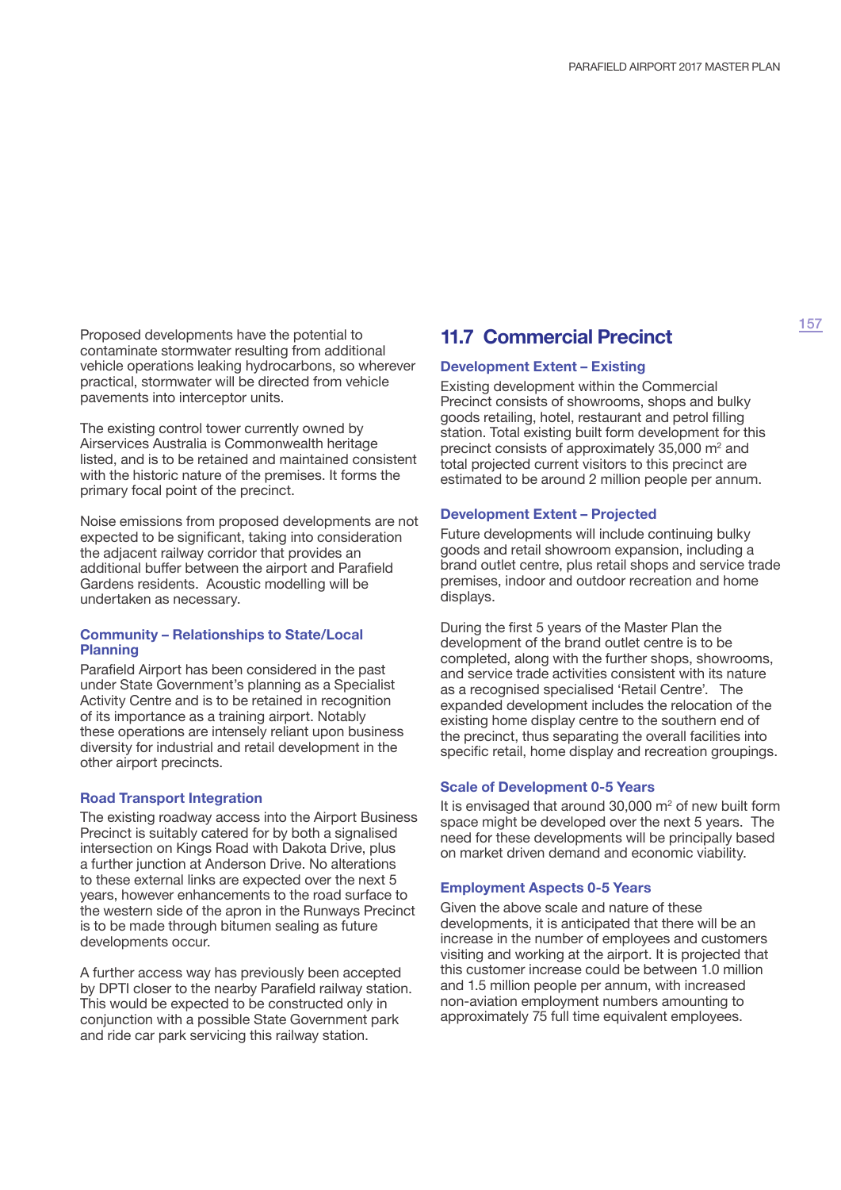Proposed developments have the potential to contaminate stormwater resulting from additional vehicle operations leaking hydrocarbons, so wherever practical, stormwater will be directed from vehicle pavements into interceptor units.

The existing control tower currently owned by Airservices Australia is Commonwealth heritage listed, and is to be retained and maintained consistent with the historic nature of the premises. It forms the primary focal point of the precinct.

Noise emissions from proposed developments are not expected to be significant, taking into consideration the adjacent railway corridor that provides an additional buffer between the airport and Parafield Gardens residents. Acoustic modelling will be undertaken as necessary.

#### **Community – Relationships to State/Local Planning**

Parafield Airport has been considered in the past under State Government's planning as a Specialist Activity Centre and is to be retained in recognition of its importance as a training airport. Notably these operations are intensely reliant upon business diversity for industrial and retail development in the other airport precincts.

#### **Road Transport Integration**

The existing roadway access into the Airport Business Precinct is suitably catered for by both a signalised intersection on Kings Road with Dakota Drive, plus a further junction at Anderson Drive. No alterations to these external links are expected over the next 5 years, however enhancements to the road surface to the western side of the apron in the Runways Precinct is to be made through bitumen sealing as future developments occur.

A further access way has previously been accepted by DPTI closer to the nearby Parafield railway station. This would be expected to be constructed only in conjunction with a possible State Government park and ride car park servicing this railway station.

## **11.7 Commercial Precinct**

#### **Development Extent – Existing**

Existing development within the Commercial Precinct consists of showrooms, shops and bulky goods retailing, hotel, restaurant and petrol filling station. Total existing built form development for this precinct consists of approximately  $35,000$  m<sup>2</sup> and total projected current visitors to this precinct are estimated to be around 2 million people per annum.

#### **Development Extent – Projected**

Future developments will include continuing bulky goods and retail showroom expansion, including a brand outlet centre, plus retail shops and service trade premises, indoor and outdoor recreation and home displays.

During the first 5 years of the Master Plan the development of the brand outlet centre is to be completed, along with the further shops, showrooms, and service trade activities consistent with its nature as a recognised specialised 'Retail Centre'. The expanded development includes the relocation of the existing home display centre to the southern end of the precinct, thus separating the overall facilities into specific retail, home display and recreation groupings.

#### **Scale of Development 0-5 Years**

It is envisaged that around 30,000  $\mathrm{m}^2$  of new built form space might be developed over the next 5 years. The need for these developments will be principally based on market driven demand and economic viability.

#### **Employment Aspects 0-5 Years**

Given the above scale and nature of these developments, it is anticipated that there will be an increase in the number of employees and customers visiting and working at the airport. It is projected that this customer increase could be between 1.0 million and 1.5 million people per annum, with increased non-aviation employment numbers amounting to approximately 75 full time equivalent employees.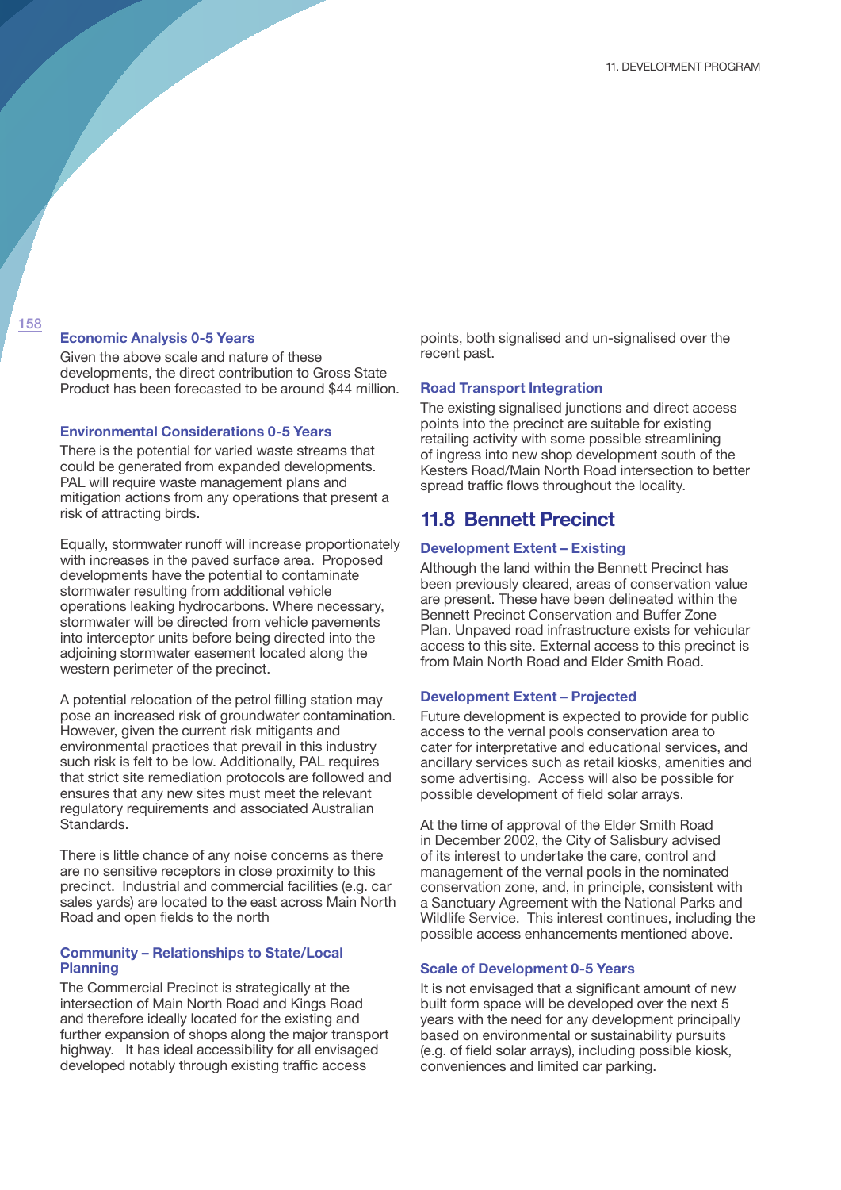#### **Economic Analysis 0-5 Years**

Given the above scale and nature of these developments, the direct contribution to Gross State Product has been forecasted to be around \$44 million.

#### **Environmental Considerations 0-5 Years**

There is the potential for varied waste streams that could be generated from expanded developments. PAL will require waste management plans and mitigation actions from any operations that present a risk of attracting birds.

Equally, stormwater runoff will increase proportionately with increases in the paved surface area. Proposed developments have the potential to contaminate stormwater resulting from additional vehicle operations leaking hydrocarbons. Where necessary, stormwater will be directed from vehicle pavements into interceptor units before being directed into the adjoining stormwater easement located along the western perimeter of the precinct.

A potential relocation of the petrol filling station may pose an increased risk of groundwater contamination. However, given the current risk mitigants and environmental practices that prevail in this industry such risk is felt to be low. Additionally, PAL requires that strict site remediation protocols are followed and ensures that any new sites must meet the relevant regulatory requirements and associated Australian Standards.

There is little chance of any noise concerns as there are no sensitive receptors in close proximity to this precinct. Industrial and commercial facilities (e.g. car sales yards) are located to the east across Main North Road and open fields to the north

#### **Community – Relationships to State/Local Planning**

The Commercial Precinct is strategically at the intersection of Main North Road and Kings Road and therefore ideally located for the existing and further expansion of shops along the major transport highway. It has ideal accessibility for all envisaged developed notably through existing traffic access

points, both signalised and un-signalised over the recent past.

#### **Road Transport Integration**

The existing signalised junctions and direct access points into the precinct are suitable for existing retailing activity with some possible streamlining of ingress into new shop development south of the Kesters Road/Main North Road intersection to better spread traffic flows throughout the locality.

### **11.8 Bennett Precinct**

#### **Development Extent – Existing**

Although the land within the Bennett Precinct has been previously cleared, areas of conservation value are present. These have been delineated within the Bennett Precinct Conservation and Buffer Zone Plan. Unpaved road infrastructure exists for vehicular access to this site. External access to this precinct is from Main North Road and Elder Smith Road.

#### **Development Extent – Projected**

Future development is expected to provide for public access to the vernal pools conservation area to cater for interpretative and educational services, and ancillary services such as retail kiosks, amenities and some advertising. Access will also be possible for possible development of field solar arrays.

At the time of approval of the Elder Smith Road in December 2002, the City of Salisbury advised of its interest to undertake the care, control and management of the vernal pools in the nominated conservation zone, and, in principle, consistent with a Sanctuary Agreement with the National Parks and Wildlife Service. This interest continues, including the possible access enhancements mentioned above.

#### **Scale of Development 0-5 Years**

It is not envisaged that a significant amount of new built form space will be developed over the next 5 years with the need for any development principally based on environmental or sustainability pursuits (e.g. of field solar arrays), including possible kiosk, conveniences and limited car parking.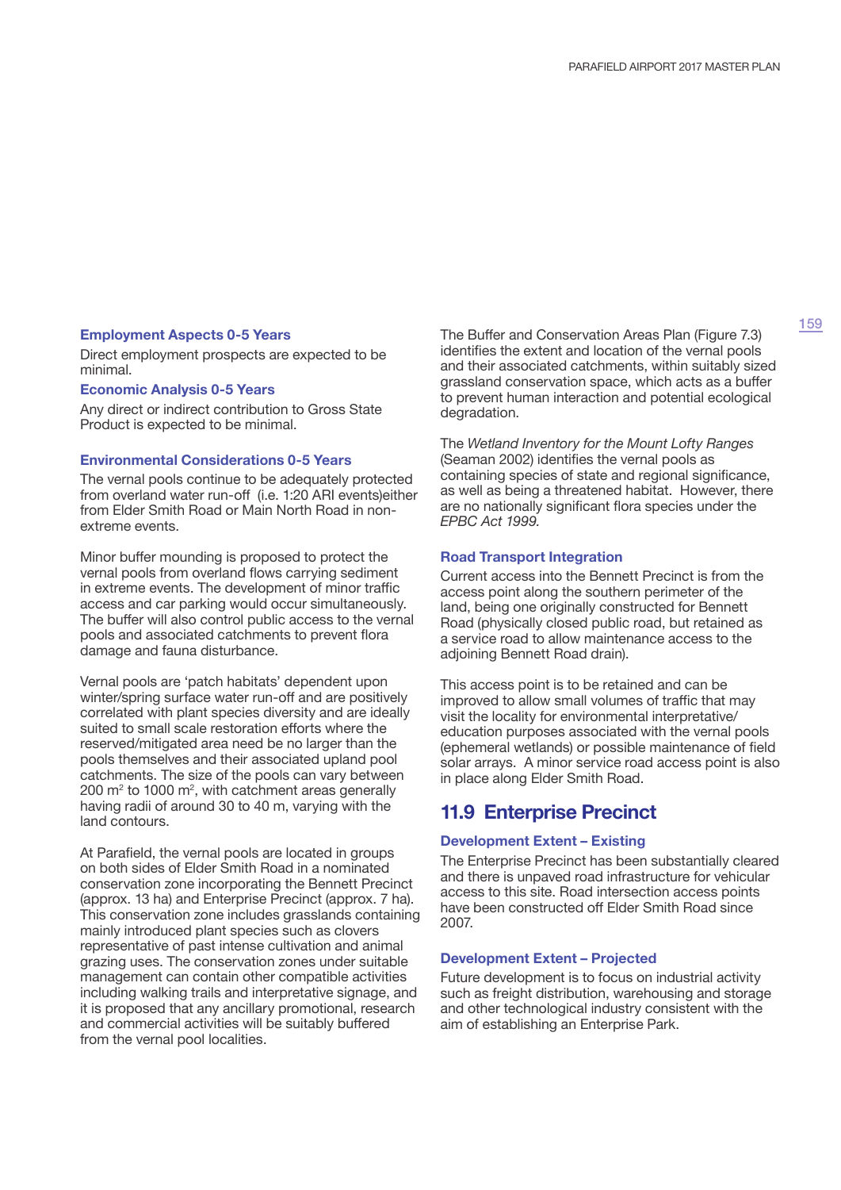### **Employment Aspects 0-5 Years**

Direct employment prospects are expected to be minimal.

#### **Economic Analysis 0-5 Years**

Any direct or indirect contribution to Gross State Product is expected to be minimal.

#### **Environmental Considerations 0-5 Years**

The vernal pools continue to be adequately protected from overland water run-off (i.e. 1:20 ARI events)either from Elder Smith Road or Main North Road in nonextreme events.

Minor buffer mounding is proposed to protect the vernal pools from overland flows carrying sediment in extreme events. The development of minor traffic access and car parking would occur simultaneously. The buffer will also control public access to the vernal pools and associated catchments to prevent flora damage and fauna disturbance.

Vernal pools are 'patch habitats' dependent upon winter/spring surface water run-off and are positively correlated with plant species diversity and are ideally suited to small scale restoration efforts where the reserved/mitigated area need be no larger than the pools themselves and their associated upland pool catchments. The size of the pools can vary between 200 m<sup>2</sup> to 1000 m<sup>2</sup>, with catchment areas generally having radii of around 30 to 40 m, varying with the land contours.

At Parafield, the vernal pools are located in groups on both sides of Elder Smith Road in a nominated conservation zone incorporating the Bennett Precinct (approx. 13 ha) and Enterprise Precinct (approx. 7 ha). This conservation zone includes grasslands containing mainly introduced plant species such as clovers representative of past intense cultivation and animal grazing uses. The conservation zones under suitable management can contain other compatible activities including walking trails and interpretative signage, and it is proposed that any ancillary promotional, research and commercial activities will be suitably buffered from the vernal pool localities.

The Buffer and Conservation Areas Plan (Figure 7.3) identifies the extent and location of the vernal pools and their associated catchments, within suitably sized grassland conservation space, which acts as a buffer to prevent human interaction and potential ecological degradation.

The *Wetland Inventory for the Mount Lofty Ranges*  (Seaman 2002) identifies the vernal pools as containing species of state and regional significance, as well as being a threatened habitat. However, there are no nationally significant flora species under the *EPBC Act 1999.*

#### **Road Transport Integration**

Current access into the Bennett Precinct is from the access point along the southern perimeter of the land, being one originally constructed for Bennett Road (physically closed public road, but retained as a service road to allow maintenance access to the adjoining Bennett Road drain).

This access point is to be retained and can be improved to allow small volumes of traffic that may visit the locality for environmental interpretative/ education purposes associated with the vernal pools (ephemeral wetlands) or possible maintenance of field solar arrays. A minor service road access point is also in place along Elder Smith Road.

### **11.9 Enterprise Precinct**

#### **Development Extent – Existing**

The Enterprise Precinct has been substantially cleared and there is unpaved road infrastructure for vehicular access to this site. Road intersection access points have been constructed off Elder Smith Road since 2007.

#### **Development Extent – Projected**

Future development is to focus on industrial activity such as freight distribution, warehousing and storage and other technological industry consistent with the aim of establishing an Enterprise Park.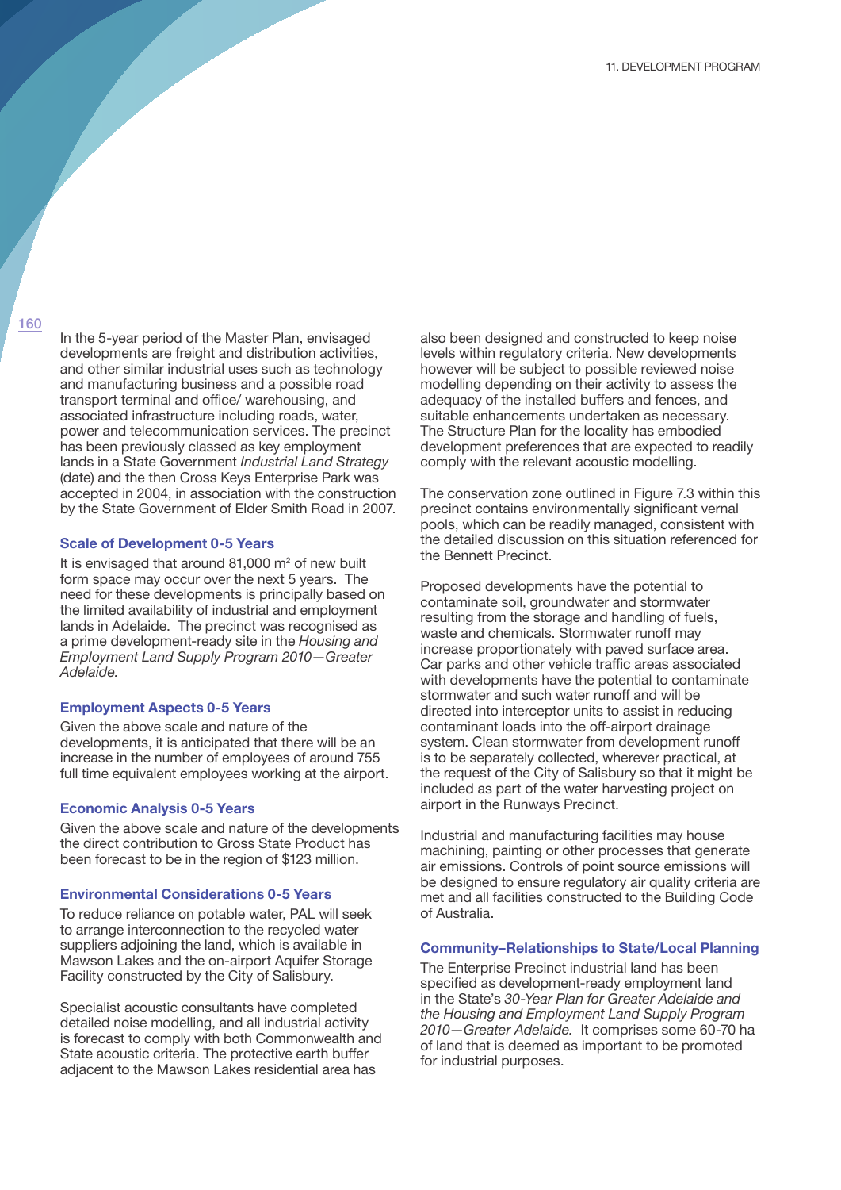In the 5-year period of the Master Plan, envisaged developments are freight and distribution activities, and other similar industrial uses such as technology and manufacturing business and a possible road transport terminal and office/ warehousing, and associated infrastructure including roads, water, power and telecommunication services. The precinct has been previously classed as key employment lands in a State Government *Industrial Land Strategy*  (date) and the then Cross Keys Enterprise Park was accepted in 2004, in association with the construction by the State Government of Elder Smith Road in 2007.

#### **Scale of Development 0-5 Years**

It is envisaged that around  $81,000$  m<sup>2</sup> of new built form space may occur over the next 5 years. The need for these developments is principally based on the limited availability of industrial and employment lands in Adelaide. The precinct was recognised as a prime development-ready site in the *Housing and Employment Land Supply Program 2010—Greater Adelaide.*

#### **Employment Aspects 0-5 Years**

Given the above scale and nature of the developments, it is anticipated that there will be an increase in the number of employees of around 755 full time equivalent employees working at the airport.

#### **Economic Analysis 0-5 Years**

Given the above scale and nature of the developments the direct contribution to Gross State Product has been forecast to be in the region of \$123 million.

#### **Environmental Considerations 0-5 Years**

To reduce reliance on potable water, PAL will seek to arrange interconnection to the recycled water suppliers adjoining the land, which is available in Mawson Lakes and the on-airport Aquifer Storage Facility constructed by the City of Salisbury.

Specialist acoustic consultants have completed detailed noise modelling, and all industrial activity is forecast to comply with both Commonwealth and State acoustic criteria. The protective earth buffer adjacent to the Mawson Lakes residential area has

also been designed and constructed to keep noise levels within regulatory criteria. New developments however will be subject to possible reviewed noise modelling depending on their activity to assess the adequacy of the installed buffers and fences, and suitable enhancements undertaken as necessary. The Structure Plan for the locality has embodied development preferences that are expected to readily comply with the relevant acoustic modelling.

The conservation zone outlined in Figure 7.3 within this precinct contains environmentally significant vernal pools, which can be readily managed, consistent with the detailed discussion on this situation referenced for the Bennett Precinct.

Proposed developments have the potential to contaminate soil, groundwater and stormwater resulting from the storage and handling of fuels, waste and chemicals. Stormwater runoff may increase proportionately with paved surface area. Car parks and other vehicle traffic areas associated with developments have the potential to contaminate stormwater and such water runoff and will be directed into interceptor units to assist in reducing contaminant loads into the off-airport drainage system. Clean stormwater from development runoff is to be separately collected, wherever practical, at the request of the City of Salisbury so that it might be included as part of the water harvesting project on airport in the Runways Precinct.

Industrial and manufacturing facilities may house machining, painting or other processes that generate air emissions. Controls of point source emissions will be designed to ensure regulatory air quality criteria are met and all facilities constructed to the Building Code of Australia.

#### **Community–Relationships to State/Local Planning**

The Enterprise Precinct industrial land has been specified as development-ready employment land in the State's *30-Year Plan for Greater Adelaide and the Housing and Employment Land Supply Program 2010—Greater Adelaide.* It comprises some 60-70 ha of land that is deemed as important to be promoted for industrial purposes.